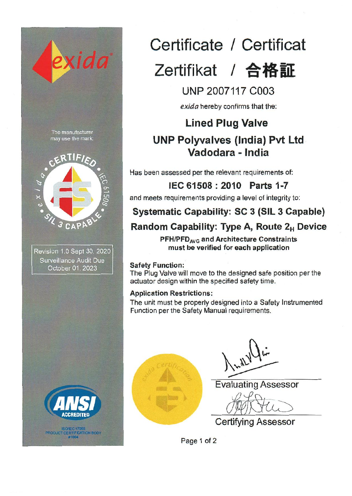



# **Certificate** *I* **Certificat**  Zertifikat / 合格証

# **UNP** 2007117 C003

*exida* hereby confirms that the:

# **Lined Plug Valve UNP Polyvalves (India) Pvt Ltd Vadodara - India**

Has been assessed per the relevant requirements of:

**IEC 61508 : 2010 Parts 1-7**  and meets requirements providing a level of integrity to:

# **Systematic Capability: SC 3 (SIL 3 Capable)**

# **Random Capability: Type A, Route 2H Device**

PFH/PFD<sub>AVG</sub> and Architecture Constraints **must be verified for each application** 

#### Safety Function:

The Plug Valve will move to the designed safe position per the actuator design within the specified safety time.

### Application Restrictions:

The unit must be properly designed into a Safety Instrumented Function per the Safety Manual requirements.



Evaluating Assessor

 $\sqrt{u}$ 

Ce rtifying Assessor

Page 1 of 2